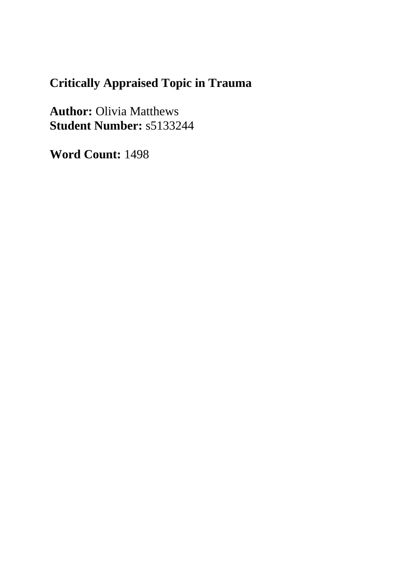# **Critically Appraised Topic in Trauma**

**Author:** Olivia Matthews **Student Number:** s5133244

**Word Count:** 1498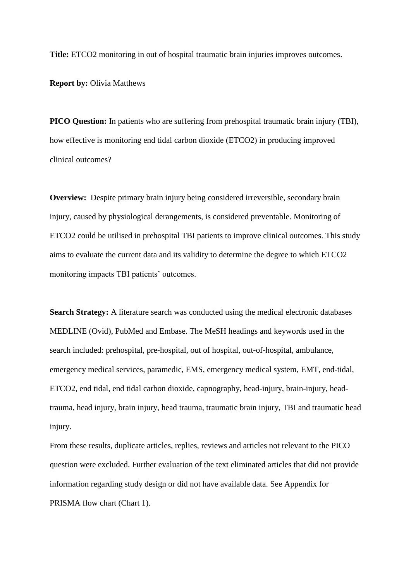**Title:** ETCO2 monitoring in out of hospital traumatic brain injuries improves outcomes.

**Report by:** Olivia Matthews

**PICO Question:** In patients who are suffering from prehospital traumatic brain injury (TBI), how effective is monitoring end tidal carbon dioxide (ETCO2) in producing improved clinical outcomes?

**Overview:** Despite primary brain injury being considered irreversible, secondary brain injury, caused by physiological derangements, is considered preventable. Monitoring of ETCO2 could be utilised in prehospital TBI patients to improve clinical outcomes. This study aims to evaluate the current data and its validity to determine the degree to which ETCO2 monitoring impacts TBI patients' outcomes.

**Search Strategy:** A literature search was conducted using the medical electronic databases MEDLINE (Ovid), PubMed and Embase. The MeSH headings and keywords used in the search included: prehospital, pre-hospital, out of hospital, out-of-hospital, ambulance, emergency medical services, paramedic, EMS, emergency medical system, EMT, end-tidal, ETCO2, end tidal, end tidal carbon dioxide, capnography, head-injury, brain-injury, headtrauma, head injury, brain injury, head trauma, traumatic brain injury, TBI and traumatic head injury.

From these results, duplicate articles, replies, reviews and articles not relevant to the PICO question were excluded. Further evaluation of the text eliminated articles that did not provide information regarding study design or did not have available data. See Appendix for PRISMA flow chart (Chart 1).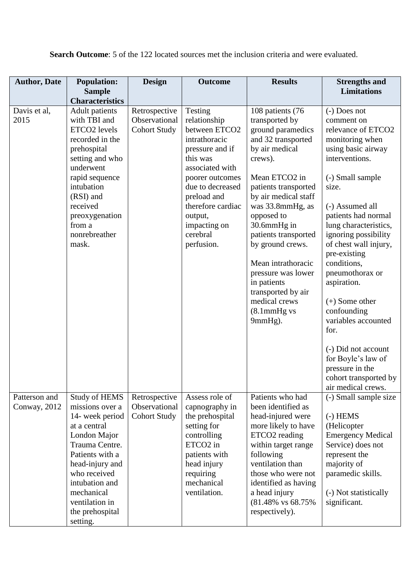**Search Outcome**: 5 of the 122 located sources met the inclusion criteria and were evaluated.

| <b>Author, Date</b>           | <b>Population:</b><br><b>Sample</b>                                                                                                                                                                                                                 | <b>Design</b>                                         | <b>Outcome</b>                                                                                                                                                                                                                              | <b>Results</b>                                                                                                                                                                                                                                                                                                                                                                                       | <b>Strengths and</b><br><b>Limitations</b>                                                                                                                                                                                                                                                                                                                                                                                                                                                                     |
|-------------------------------|-----------------------------------------------------------------------------------------------------------------------------------------------------------------------------------------------------------------------------------------------------|-------------------------------------------------------|---------------------------------------------------------------------------------------------------------------------------------------------------------------------------------------------------------------------------------------------|------------------------------------------------------------------------------------------------------------------------------------------------------------------------------------------------------------------------------------------------------------------------------------------------------------------------------------------------------------------------------------------------------|----------------------------------------------------------------------------------------------------------------------------------------------------------------------------------------------------------------------------------------------------------------------------------------------------------------------------------------------------------------------------------------------------------------------------------------------------------------------------------------------------------------|
|                               | <b>Characteristics</b>                                                                                                                                                                                                                              |                                                       |                                                                                                                                                                                                                                             |                                                                                                                                                                                                                                                                                                                                                                                                      |                                                                                                                                                                                                                                                                                                                                                                                                                                                                                                                |
| Davis et al,<br>2015          | <b>Adult</b> patients<br>with TBI and<br>ETCO2 levels<br>recorded in the<br>prehospital<br>setting and who<br>underwent<br>rapid sequence<br>intubation<br>(RSI) and<br>received<br>preoxygenation<br>from a<br>nonrebreather<br>mask.              | Retrospective<br>Observational<br><b>Cohort Study</b> | Testing<br>relationship<br>between ETCO2<br>intrathoracic<br>pressure and if<br>this was<br>associated with<br>poorer outcomes<br>due to decreased<br>preload and<br>therefore cardiac<br>output,<br>impacting on<br>cerebral<br>perfusion. | 108 patients (76<br>transported by<br>ground paramedics<br>and 32 transported<br>by air medical<br>crews).<br>Mean ETCO2 in<br>patients transported<br>by air medical staff<br>was 33.8mmHg, as<br>opposed to<br>30.6mmHg in<br>patients transported<br>by ground crews.<br>Mean intrathoracic<br>pressure was lower<br>in patients<br>transported by air<br>medical crews<br>(8.1mmHg vs<br>9mmHg). | (-) Does not<br>comment on<br>relevance of ETCO2<br>monitoring when<br>using basic airway<br>interventions.<br>(-) Small sample<br>size.<br>(-) Assumed all<br>patients had normal<br>lung characteristics,<br>ignoring possibility<br>of chest wall injury,<br>pre-existing<br>conditions,<br>pneumothorax or<br>aspiration.<br>$(+)$ Some other<br>confounding<br>variables accounted<br>for.<br>(-) Did not account<br>for Boyle's law of<br>pressure in the<br>cohort transported by<br>air medical crews. |
| Patterson and<br>Conway, 2012 | <b>Study of HEMS</b><br>missions over a<br>14- week period<br>at a central<br>London Major<br>Trauma Centre.<br>Patients with a<br>head-injury and<br>who received<br>intubation and<br>mechanical<br>ventilation in<br>the prehospital<br>setting. | Retrospective<br>Observational<br><b>Cohort Study</b> | Assess role of<br>capnography in<br>the prehospital<br>setting for<br>controlling<br>ETCO <sub>2</sub> in<br>patients with<br>head injury<br>requiring<br>mechanical<br>ventilation.                                                        | Patients who had<br>been identified as<br>head-injured were<br>more likely to have<br>ETCO2 reading<br>within target range<br>following<br>ventilation than<br>those who were not<br>identified as having<br>a head injury<br>(81.48% vs 68.75%)<br>respectively).                                                                                                                                   | (-) Small sample size<br>$(-)$ HEMS<br>(Helicopter<br><b>Emergency Medical</b><br>Service) does not<br>represent the<br>majority of<br>paramedic skills.<br>(-) Not statistically<br>significant.                                                                                                                                                                                                                                                                                                              |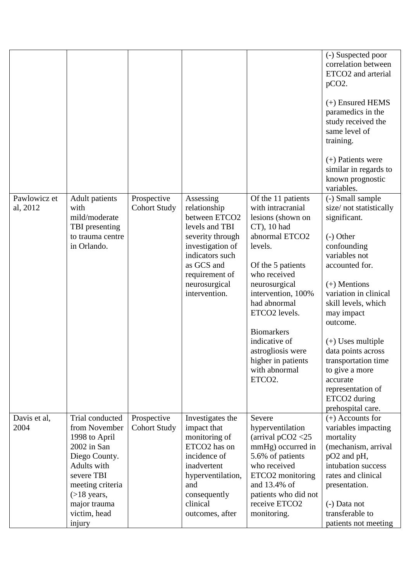|                          |                                                                                                                                                                                                |                                    |                                                                                                                                                                                           |                                                                                                                                                                                                                                                                                                                                                   | (-) Suspected poor<br>correlation between<br>ETCO2 and arterial<br>$pCO2$ .<br>$(+)$ Ensured HEMS<br>paramedics in the<br>study received the<br>same level of<br>training.<br>$(+)$ Patients were<br>similar in regards to<br>known prognostic<br>variables.                                                                                                                                    |
|--------------------------|------------------------------------------------------------------------------------------------------------------------------------------------------------------------------------------------|------------------------------------|-------------------------------------------------------------------------------------------------------------------------------------------------------------------------------------------|---------------------------------------------------------------------------------------------------------------------------------------------------------------------------------------------------------------------------------------------------------------------------------------------------------------------------------------------------|-------------------------------------------------------------------------------------------------------------------------------------------------------------------------------------------------------------------------------------------------------------------------------------------------------------------------------------------------------------------------------------------------|
| Pawlowicz et<br>al, 2012 | <b>Adult</b> patients<br>with<br>mild/moderate<br>TBI presenting<br>to trauma centre<br>in Orlando.                                                                                            | Prospective<br><b>Cohort Study</b> | Assessing<br>relationship<br>between ETCO2<br>levels and TBI<br>severity through<br>investigation of<br>indicators such<br>as GCS and<br>requirement of<br>neurosurgical<br>intervention. | Of the 11 patients<br>with intracranial<br>lesions (shown on<br>$CT$ ), 10 had<br>abnormal ETCO2<br>levels.<br>Of the 5 patients<br>who received<br>neurosurgical<br>intervention, 100%<br>had abnormal<br>ETCO2 levels.<br><b>Biomarkers</b><br>indicative of<br>astrogliosis were<br>higher in patients<br>with abnormal<br>ETCO <sub>2</sub> . | (-) Small sample<br>size/not statistically<br>significant.<br>$(-)$ Other<br>confounding<br>variables not<br>accounted for.<br>$(+)$ Mentions<br>variation in clinical<br>skill levels, which<br>may impact<br>outcome.<br>$(+)$ Uses multiple<br>data points across<br>transportation time<br>to give a more<br>accurate<br>representation of<br>ETCO <sub>2</sub> during<br>prehospital care. |
| Davis et al,<br>2004     | Trial conducted<br>from November<br>1998 to April<br>2002 in San<br>Diego County.<br>Adults with<br>severe TBI<br>meeting criteria<br>$($ >18 years,<br>major trauma<br>victim, head<br>injury | Prospective<br><b>Cohort Study</b> | Investigates the<br>impact that<br>monitoring of<br>ETCO2 has on<br>incidence of<br>inadvertent<br>hyperventilation,<br>and<br>consequently<br>clinical<br>outcomes, after                | Severe<br>hyperventilation<br>(arrival pCO2 $<$ 25<br>mmHg) occurred in<br>5.6% of patients<br>who received<br>ETCO2 monitoring<br>and 13.4% of<br>patients who did not<br>receive ETCO2<br>monitoring.                                                                                                                                           | $(+)$ Accounts for<br>variables impacting<br>mortality<br>(mechanism, arrival<br>pO2 and pH,<br>intubation success<br>rates and clinical<br>presentation.<br>(-) Data not<br>transferable to<br>patients not meeting                                                                                                                                                                            |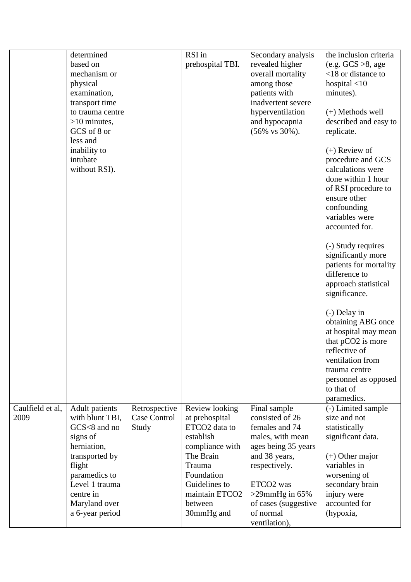|                  | determined            |               | RSI in           | Secondary analysis                      | the inclusion criteria            |
|------------------|-----------------------|---------------|------------------|-----------------------------------------|-----------------------------------|
|                  | based on              |               | prehospital TBI. | revealed higher                         | (e.g. $GCS > 8$ , age             |
|                  | mechanism or          |               |                  | overall mortality                       | $<$ 18 or distance to             |
|                  | physical              |               |                  | among those                             | hospital $<$ 10                   |
|                  | examination,          |               |                  | patients with                           | minutes).                         |
|                  | transport time        |               |                  | inadvertent severe                      |                                   |
|                  | to trauma centre      |               |                  | hyperventilation                        | $(+)$ Methods well                |
|                  | $>10$ minutes,        |               |                  | and hypocapnia                          | described and easy to             |
|                  | GCS of 8 or           |               |                  | $(56\% \text{ vs } 30\%).$              | replicate.                        |
|                  | less and              |               |                  |                                         |                                   |
|                  | inability to          |               |                  |                                         | $(+)$ Review of                   |
|                  | intubate              |               |                  |                                         | procedure and GCS                 |
|                  |                       |               |                  |                                         | calculations were                 |
|                  | without RSI).         |               |                  |                                         |                                   |
|                  |                       |               |                  |                                         | done within 1 hour                |
|                  |                       |               |                  |                                         | of RSI procedure to               |
|                  |                       |               |                  |                                         | ensure other                      |
|                  |                       |               |                  |                                         | confounding                       |
|                  |                       |               |                  |                                         | variables were                    |
|                  |                       |               |                  |                                         | accounted for.                    |
|                  |                       |               |                  |                                         |                                   |
|                  |                       |               |                  |                                         | (-) Study requires                |
|                  |                       |               |                  |                                         | significantly more                |
|                  |                       |               |                  |                                         | patients for mortality            |
|                  |                       |               |                  |                                         | difference to                     |
|                  |                       |               |                  |                                         | approach statistical              |
|                  |                       |               |                  |                                         | significance.                     |
|                  |                       |               |                  |                                         | (-) Delay in                      |
|                  |                       |               |                  |                                         | obtaining ABG once                |
|                  |                       |               |                  |                                         | at hospital may mean              |
|                  |                       |               |                  |                                         | that pCO2 is more                 |
|                  |                       |               |                  |                                         | reflective of                     |
|                  |                       |               |                  |                                         | ventilation from                  |
|                  |                       |               |                  |                                         | trauma centre                     |
|                  |                       |               |                  |                                         | personnel as opposed              |
|                  |                       |               |                  |                                         | to that of                        |
|                  |                       |               |                  |                                         | paramedics.                       |
| Caulfield et al, | <b>Adult</b> patients | Retrospective | Review looking   | Final sample                            | (-) Limited sample                |
| 2009             | with blunt TBI,       | Case Control  | at prehospital   | consisted of 26                         | size and not                      |
|                  | GCS<8 and no          | Study         | ETCO2 data to    | females and 74                          | statistically                     |
|                  | signs of              |               | establish        |                                         |                                   |
|                  | herniation,           |               | compliance with  | males, with mean<br>ages being 35 years | significant data.                 |
|                  |                       |               | The Brain        |                                         |                                   |
|                  | transported by        |               | Trauma           | and 38 years,                           | $(+)$ Other major<br>variables in |
|                  | flight                |               |                  | respectively.                           |                                   |
|                  | paramedics to         |               | Foundation       |                                         | worsening of                      |
|                  | Level 1 trauma        |               | Guidelines to    | ETCO <sub>2</sub> was                   | secondary brain                   |
|                  | centre in             |               | maintain ETCO2   | $>$ 29mmHg in 65%                       | injury were                       |
|                  | Maryland over         |               | between          | of cases (suggestive                    | accounted for                     |
|                  | a 6-year period       |               | 30mmHg and       | of normal                               | (hypoxia,                         |
|                  |                       |               |                  | ventilation),                           |                                   |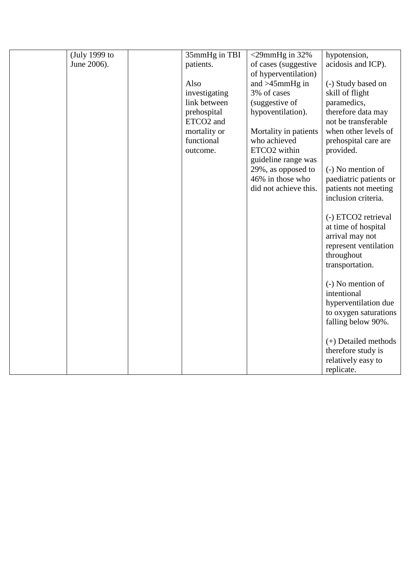| (July 1999 to | 35mmHg in TBI         | $<$ 29mmHg in 32%     | hypotension,                        |
|---------------|-----------------------|-----------------------|-------------------------------------|
| June 2006).   | patients.             | of cases (suggestive  | acidosis and ICP).                  |
|               |                       | of hyperventilation)  |                                     |
|               | Also                  | and $>45$ mmHg in     | (-) Study based on                  |
|               | investigating         | 3% of cases           | skill of flight                     |
|               | link between          | (suggestive of        | paramedics,                         |
|               | prehospital           | hypoventilation).     | therefore data may                  |
|               | ETCO <sub>2</sub> and |                       | not be transferable                 |
|               | mortality or          | Mortality in patients | when other levels of                |
|               | functional            | who achieved          | prehospital care are                |
|               | outcome.              | ETCO2 within          | provided.                           |
|               |                       | guideline range was   |                                     |
|               |                       | 29%, as opposed to    | (-) No mention of                   |
|               |                       | 46% in those who      | paediatric patients or              |
|               |                       | did not achieve this. | patients not meeting                |
|               |                       |                       | inclusion criteria.                 |
|               |                       |                       |                                     |
|               |                       |                       | (-) ETCO2 retrieval                 |
|               |                       |                       | at time of hospital                 |
|               |                       |                       | arrival may not                     |
|               |                       |                       | represent ventilation<br>throughout |
|               |                       |                       | transportation.                     |
|               |                       |                       |                                     |
|               |                       |                       | (-) No mention of                   |
|               |                       |                       | intentional                         |
|               |                       |                       | hyperventilation due                |
|               |                       |                       | to oxygen saturations               |
|               |                       |                       | falling below 90%.                  |
|               |                       |                       |                                     |
|               |                       |                       | (+) Detailed methods                |
|               |                       |                       | therefore study is                  |
|               |                       |                       | relatively easy to                  |
|               |                       |                       | replicate.                          |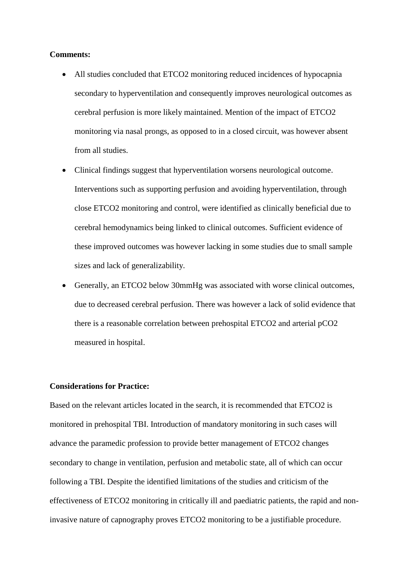#### **Comments:**

- All studies concluded that ETCO2 monitoring reduced incidences of hypocapnia secondary to hyperventilation and consequently improves neurological outcomes as cerebral perfusion is more likely maintained. Mention of the impact of ETCO2 monitoring via nasal prongs, as opposed to in a closed circuit, was however absent from all studies.
- Clinical findings suggest that hyperventilation worsens neurological outcome. Interventions such as supporting perfusion and avoiding hyperventilation, through close ETCO2 monitoring and control, were identified as clinically beneficial due to cerebral hemodynamics being linked to clinical outcomes. Sufficient evidence of these improved outcomes was however lacking in some studies due to small sample sizes and lack of generalizability.
- Generally, an ETCO2 below 30mmHg was associated with worse clinical outcomes, due to decreased cerebral perfusion. There was however a lack of solid evidence that there is a reasonable correlation between prehospital ETCO2 and arterial pCO2 measured in hospital.

### **Considerations for Practice:**

Based on the relevant articles located in the search, it is recommended that ETCO2 is monitored in prehospital TBI. Introduction of mandatory monitoring in such cases will advance the paramedic profession to provide better management of ETCO2 changes secondary to change in ventilation, perfusion and metabolic state, all of which can occur following a TBI. Despite the identified limitations of the studies and criticism of the effectiveness of ETCO2 monitoring in critically ill and paediatric patients, the rapid and noninvasive nature of capnography proves ETCO2 monitoring to be a justifiable procedure.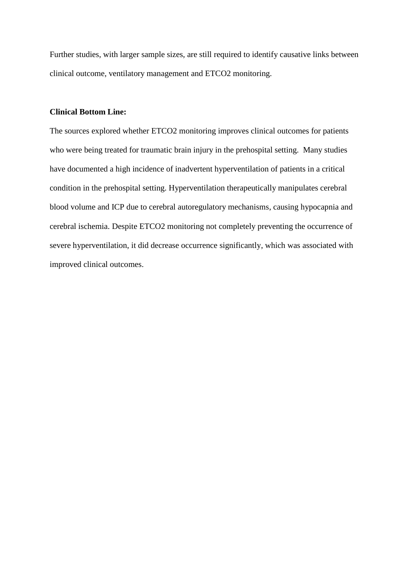Further studies, with larger sample sizes, are still required to identify causative links between clinical outcome, ventilatory management and ETCO2 monitoring.

### **Clinical Bottom Line:**

The sources explored whether ETCO2 monitoring improves clinical outcomes for patients who were being treated for traumatic brain injury in the prehospital setting. Many studies have documented a high incidence of inadvertent hyperventilation of patients in a critical condition in the prehospital setting. Hyperventilation therapeutically manipulates cerebral blood volume and ICP due to cerebral autoregulatory mechanisms, causing hypocapnia and cerebral ischemia. Despite ETCO2 monitoring not completely preventing the occurrence of severe hyperventilation, it did decrease occurrence significantly, which was associated with improved clinical outcomes.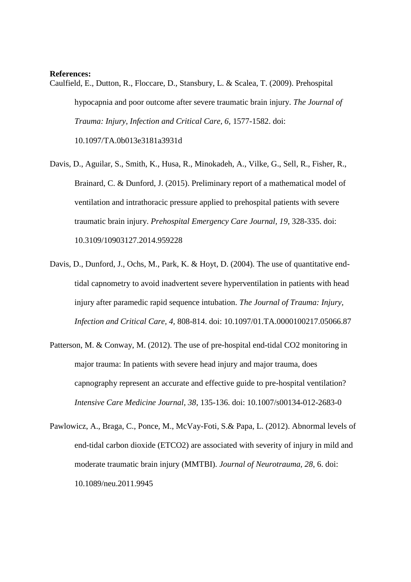#### **References:**

Caulfield, E., Dutton, R., Floccare, D., Stansbury, L. & Scalea, T. (2009). Prehospital hypocapnia and poor outcome after severe traumatic brain injury. *The Journal of Trauma: Injury, Infection and Critical Care, 6,* 1577-1582. doi:

10.1097/TA.0b013e3181a3931d

- Davis, D., Aguilar, S., Smith, K., Husa, R., Minokadeh, A., Vilke, G., Sell, R., Fisher, R., Brainard, C. & Dunford, J. (2015). Preliminary report of a mathematical model of ventilation and intrathoracic pressure applied to prehospital patients with severe traumatic brain injury. *Prehospital Emergency Care Journal, 19*, 328-335. doi: 10.3109/10903127.2014.959228
- Davis, D., Dunford, J., Ochs, M., Park, K. & Hoyt, D. (2004). The use of quantitative endtidal capnometry to avoid inadvertent severe hyperventilation in patients with head injury after paramedic rapid sequence intubation. *The Journal of Trauma: Injury, Infection and Critical Care, 4,* 808-814. doi: 10.1097/01.TA.0000100217.05066.87
- Patterson, M. & Conway, M. (2012). The use of pre-hospital end-tidal CO2 monitoring in major trauma: In patients with severe head injury and major trauma, does capnography represent an accurate and effective guide to pre-hospital ventilation? *Intensive Care Medicine Journal, 38*, 135-136. doi: 10.1007/s00134-012-2683-0
- Pawlowicz, A., Braga, C., Ponce, M., McVay-Foti, S.& Papa, L. (2012). Abnormal levels of end-tidal carbon dioxide (ETCO2) are associated with severity of injury in mild and moderate traumatic brain injury (MMTBI). *Journal of Neurotrauma, 28*, 6. doi: 10.1089/neu.2011.9945